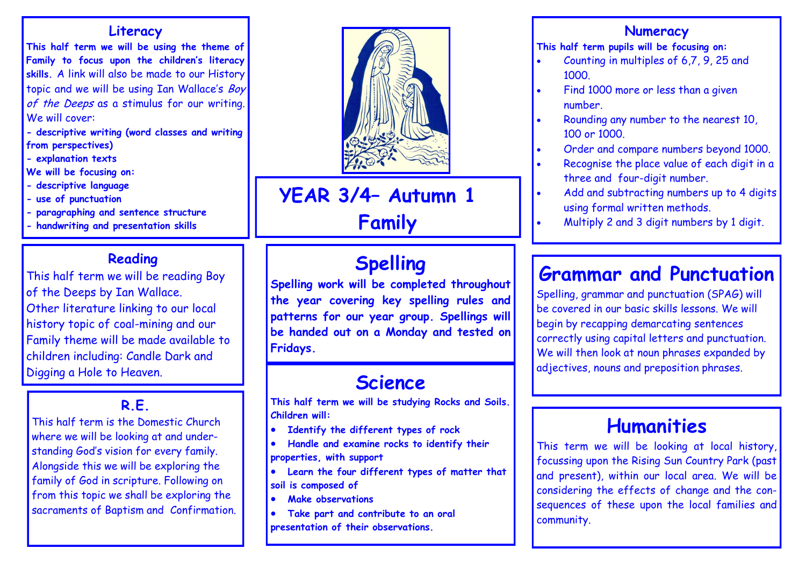#### **Literacy**

**This half term we will be using the theme of Family to focus upon the children's literacy skills.** A link will also be made to our History topic and we will be using Ian Wallace's Boy of the Deeps as a stimulus for our writing. We will cover:

**- descriptive writing (word classes and writing from perspectives)**

**- explanation texts**

**We will be focusing on:**

- **- descriptive language**
- **- use of punctuation**
- **- paragraphing and sentence structure**
- **- handwriting and presentation skills**

### **Reading**

This half term we will be reading Boy of the Deeps by Ian Wallace. Other literature linking to our local history topic of coal-mining and our Family theme will be made available to children including: Candle Dark and Digging a Hole to Heaven.

# **R.E.**

This half term is the Domestic Church where we will be looking at and understanding God's vision for every family. Alongside this we will be exploring the family of God in scripture. Following on from this topic we shall be exploring the sacraments of Baptism and Confirmation.



**YEAR 3/4– Autumn 1 Family** 

# **Spelling**

**Spelling work will be completed throughout the year covering key spelling rules and patterns for our year group. Spellings will be handed out on a Monday and tested on Fridays.**

# **Science**

**This half term we will be studying Rocks and Soils. Children will:**

- **Identify the different types of rock**
- **Handle and examine rocks to identify their properties, with support**
- **Learn the four different types of matter that soil is composed of**
- **Make observations**
- **Take part and contribute to an oral presentation of their observations.**

### **Numeracy**

**This half term pupils will be focusing on:**

- Counting in multiples of 6,7, 9, 25 and 1000.
- Find 1000 more or less than a given number.
- Rounding any number to the nearest 10, 100 or 1000.
- Order and compare numbers beyond 1000.
- Recognise the place value of each digit in a three and four-digit number.
- Add and subtracting numbers up to 4 digits using formal written methods.
- Multiply 2 and 3 digit numbers by 1 digit.

# **Grammar and Punctuation**

Spelling, grammar and punctuation (SPAG) will be covered in our basic skills lessons. We will begin by recapping demarcating sentences correctly using capital letters and punctuation. We will then look at noun phrases expanded by adjectives, nouns and preposition phrases.

# **Humanities**

This term we will be looking at local history, focussing upon the Rising Sun Country Park (past and present), within our local area. We will be considering the effects of change and the consequences of these upon the local families and community.